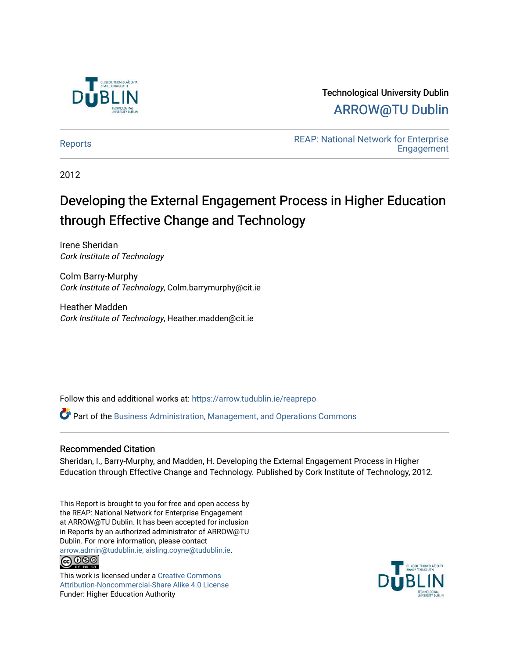

# Technological University Dublin [ARROW@TU Dublin](https://arrow.tudublin.ie/)

REAP: National Network for Enterprise<br> [Reports](https://arrow.tudublin.ie/reaprepo) [Engagement](https://arrow.tudublin.ie/reap) 

2012

# Developing the External Engagement Process in Higher Education through Effective Change and Technology

Irene Sheridan Cork Institute of Technology

Colm Barry-Murphy Cork Institute of Technology, Colm.barrymurphy@cit.ie

Heather Madden Cork Institute of Technology, Heather.madden@cit.ie

Follow this and additional works at: [https://arrow.tudublin.ie/reaprepo](https://arrow.tudublin.ie/reaprepo?utm_source=arrow.tudublin.ie%2Freaprepo%2F10&utm_medium=PDF&utm_campaign=PDFCoverPages) 

Part of the [Business Administration, Management, and Operations Commons](http://network.bepress.com/hgg/discipline/623?utm_source=arrow.tudublin.ie%2Freaprepo%2F10&utm_medium=PDF&utm_campaign=PDFCoverPages)

## Recommended Citation

Sheridan, I., Barry-Murphy, and Madden, H. Developing the External Engagement Process in Higher Education through Effective Change and Technology. Published by Cork Institute of Technology, 2012.

This Report is brought to you for free and open access by the REAP: National Network for Enterprise Engagement at ARROW@TU Dublin. It has been accepted for inclusion in Reports by an authorized administrator of ARROW@TU Dublin. For more information, please contact [arrow.admin@tudublin.ie, aisling.coyne@tudublin.ie](mailto:arrow.admin@tudublin.ie,%20aisling.coyne@tudublin.ie). **@@@** 

This work is licensed under a [Creative Commons](http://creativecommons.org/licenses/by-nc-sa/4.0/) [Attribution-Noncommercial-Share Alike 4.0 License](http://creativecommons.org/licenses/by-nc-sa/4.0/) Funder: Higher Education Authority

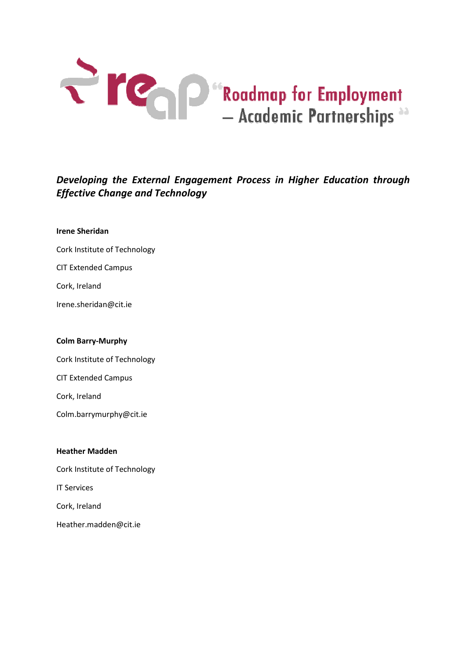

# Developing the External Engagement Process in Higher Education through Effective Change and Technology

#### Irene Sheridan

- Cork Institute of Technology
- CIT Extended Campus
- Cork, Ireland
- Irene.sheridan@cit.ie

#### Colm Barry-Murphy

- Cork Institute of Technology
- CIT Extended Campus
- Cork, Ireland
- Colm.barrymurphy@cit.ie

#### Heather Madden

- Cork Institute of Technology IT Services
- 
- Cork, Ireland
- Heather.madden@cit.ie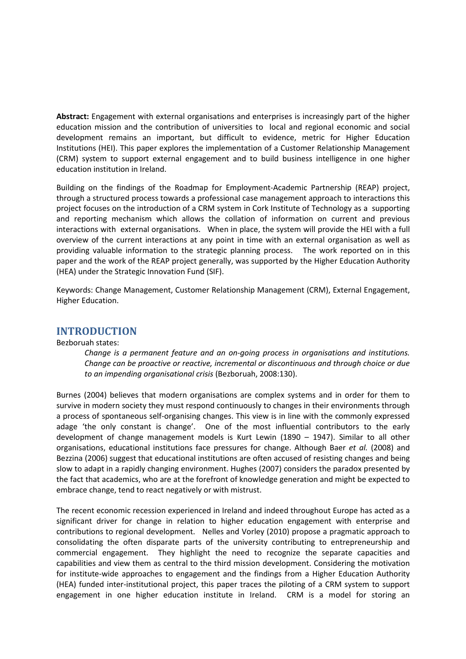Abstract: Engagement with external organisations and enterprises is increasingly part of the higher education mission and the contribution of universities to local and regional economic and social development remains an important, but difficult to evidence, metric for Higher Education Institutions (HEI). This paper explores the implementation of a Customer Relationship Management (CRM) system to support external engagement and to build business intelligence in one higher education institution in Ireland.

Building on the findings of the Roadmap for Employment-Academic Partnership (REAP) project, through a structured process towards a professional case management approach to interactions this project focuses on the introduction of a CRM system in Cork Institute of Technology as a supporting and reporting mechanism which allows the collation of information on current and previous interactions with external organisations. When in place, the system will provide the HEI with a full overview of the current interactions at any point in time with an external organisation as well as providing valuable information to the strategic planning process. The work reported on in this paper and the work of the REAP project generally, was supported by the Higher Education Authority (HEA) under the Strategic Innovation Fund (SIF).

Keywords: Change Management, Customer Relationship Management (CRM), External Engagement, Higher Education.

## INTRODUCTION

#### Bezboruah states:

Change is a permanent feature and an on-going process in organisations and institutions. Change can be proactive or reactive, incremental or discontinuous and through choice or due to an impending organisational crisis (Bezboruah, 2008:130).

Burnes (2004) believes that modern organisations are complex systems and in order for them to survive in modern society they must respond continuously to changes in their environments through a process of spontaneous self-organising changes. This view is in line with the commonly expressed adage 'the only constant is change'. One of the most influential contributors to the early development of change management models is Kurt Lewin (1890 – 1947). Similar to all other organisations, educational institutions face pressures for change. Although Baer et al. (2008) and Bezzina (2006) suggest that educational institutions are often accused of resisting changes and being slow to adapt in a rapidly changing environment. Hughes (2007) considers the paradox presented by the fact that academics, who are at the forefront of knowledge generation and might be expected to embrace change, tend to react negatively or with mistrust.

The recent economic recession experienced in Ireland and indeed throughout Europe has acted as a significant driver for change in relation to higher education engagement with enterprise and contributions to regional development. Nelles and Vorley (2010) propose a pragmatic approach to consolidating the often disparate parts of the university contributing to entrepreneurship and commercial engagement. They highlight the need to recognize the separate capacities and capabilities and view them as central to the third mission development. Considering the motivation for institute-wide approaches to engagement and the findings from a Higher Education Authority (HEA) funded inter-institutional project, this paper traces the piloting of a CRM system to support engagement in one higher education institute in Ireland. CRM is a model for storing an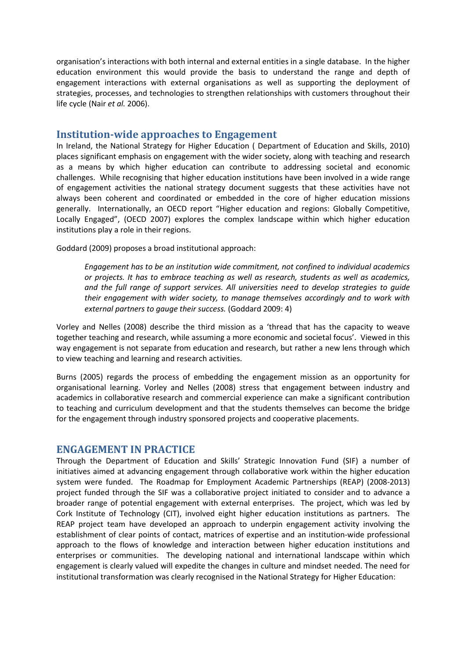organisation's interactions with both internal and external entities in a single database. In the higher education environment this would provide the basis to understand the range and depth of engagement interactions with external organisations as well as supporting the deployment of strategies, processes, and technologies to strengthen relationships with customers throughout their life cycle (Nair et al. 2006).

# Institution-wide approaches to Engagement

In Ireland, the National Strategy for Higher Education ( Department of Education and Skills, 2010) places significant emphasis on engagement with the wider society, along with teaching and research as a means by which higher education can contribute to addressing societal and economic challenges. While recognising that higher education institutions have been involved in a wide range of engagement activities the national strategy document suggests that these activities have not always been coherent and coordinated or embedded in the core of higher education missions generally. Internationally, an OECD report "Higher education and regions: Globally Competitive, Locally Engaged", (OECD 2007) explores the complex landscape within which higher education institutions play a role in their regions.

Goddard (2009) proposes a broad institutional approach:

Engagement has to be an institution wide commitment, not confined to individual academics or projects. It has to embrace teaching as well as research, students as well as academics, and the full range of support services. All universities need to develop strategies to guide their engagement with wider society, to manage themselves accordingly and to work with external partners to gauge their success. (Goddard 2009: 4)

Vorley and Nelles (2008) describe the third mission as a 'thread that has the capacity to weave together teaching and research, while assuming a more economic and societal focus'. Viewed in this way engagement is not separate from education and research, but rather a new lens through which to view teaching and learning and research activities.

Burns (2005) regards the process of embedding the engagement mission as an opportunity for organisational learning. Vorley and Nelles (2008) stress that engagement between industry and academics in collaborative research and commercial experience can make a significant contribution to teaching and curriculum development and that the students themselves can become the bridge for the engagement through industry sponsored projects and cooperative placements.

# ENGAGEMENT IN PRACTICE

Through the Department of Education and Skills' Strategic Innovation Fund (SIF) a number of initiatives aimed at advancing engagement through collaborative work within the higher education system were funded. The Roadmap for Employment Academic Partnerships (REAP) (2008-2013) project funded through the SIF was a collaborative project initiated to consider and to advance a broader range of potential engagement with external enterprises. The project, which was led by Cork Institute of Technology (CIT), involved eight higher education institutions as partners. The REAP project team have developed an approach to underpin engagement activity involving the establishment of clear points of contact, matrices of expertise and an institution-wide professional approach to the flows of knowledge and interaction between higher education institutions and enterprises or communities. The developing national and international landscape within which engagement is clearly valued will expedite the changes in culture and mindset needed. The need for institutional transformation was clearly recognised in the National Strategy for Higher Education: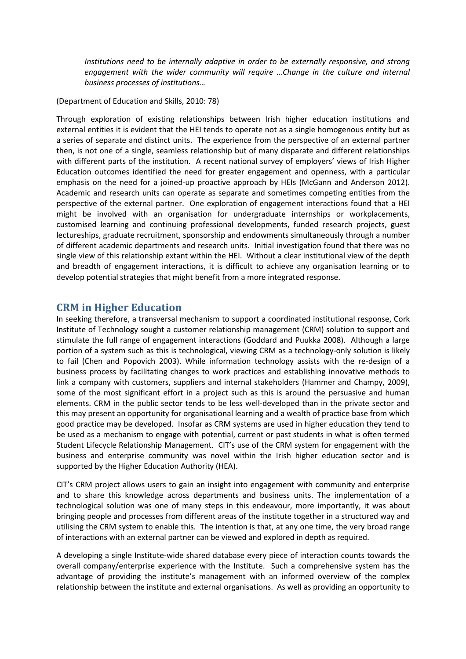Institutions need to be internally adaptive in order to be externally responsive, and strong engagement with the wider community will require …Change in the culture and internal business processes of institutions…

(Department of Education and Skills, 2010: 78)

Through exploration of existing relationships between Irish higher education institutions and external entities it is evident that the HEI tends to operate not as a single homogenous entity but as a series of separate and distinct units. The experience from the perspective of an external partner then, is not one of a single, seamless relationship but of many disparate and different relationships with different parts of the institution. A recent national survey of employers' views of Irish Higher Education outcomes identified the need for greater engagement and openness, with a particular emphasis on the need for a joined-up proactive approach by HEIs (McGann and Anderson 2012). Academic and research units can operate as separate and sometimes competing entities from the perspective of the external partner. One exploration of engagement interactions found that a HEI might be involved with an organisation for undergraduate internships or workplacements, customised learning and continuing professional developments, funded research projects, guest lectureships, graduate recruitment, sponsorship and endowments simultaneously through a number of different academic departments and research units. Initial investigation found that there was no single view of this relationship extant within the HEI. Without a clear institutional view of the depth and breadth of engagement interactions, it is difficult to achieve any organisation learning or to develop potential strategies that might benefit from a more integrated response.

# CRM in Higher Education

In seeking therefore, a transversal mechanism to support a coordinated institutional response, Cork Institute of Technology sought a customer relationship management (CRM) solution to support and stimulate the full range of engagement interactions (Goddard and Puukka 2008). Although a large portion of a system such as this is technological, viewing CRM as a technology-only solution is likely to fail (Chen and Popovich 2003). While information technology assists with the re-design of a business process by facilitating changes to work practices and establishing innovative methods to link a company with customers, suppliers and internal stakeholders (Hammer and Champy, 2009), some of the most significant effort in a project such as this is around the persuasive and human elements. CRM in the public sector tends to be less well-developed than in the private sector and this may present an opportunity for organisational learning and a wealth of practice base from which good practice may be developed. Insofar as CRM systems are used in higher education they tend to be used as a mechanism to engage with potential, current or past students in what is often termed Student Lifecycle Relationship Management. CIT's use of the CRM system for engagement with the business and enterprise community was novel within the Irish higher education sector and is supported by the Higher Education Authority (HEA).

CIT's CRM project allows users to gain an insight into engagement with community and enterprise and to share this knowledge across departments and business units. The implementation of a technological solution was one of many steps in this endeavour, more importantly, it was about bringing people and processes from different areas of the institute together in a structured way and utilising the CRM system to enable this. The intention is that, at any one time, the very broad range of interactions with an external partner can be viewed and explored in depth as required.

A developing a single Institute-wide shared database every piece of interaction counts towards the overall company/enterprise experience with the Institute. Such a comprehensive system has the advantage of providing the institute's management with an informed overview of the complex relationship between the institute and external organisations. As well as providing an opportunity to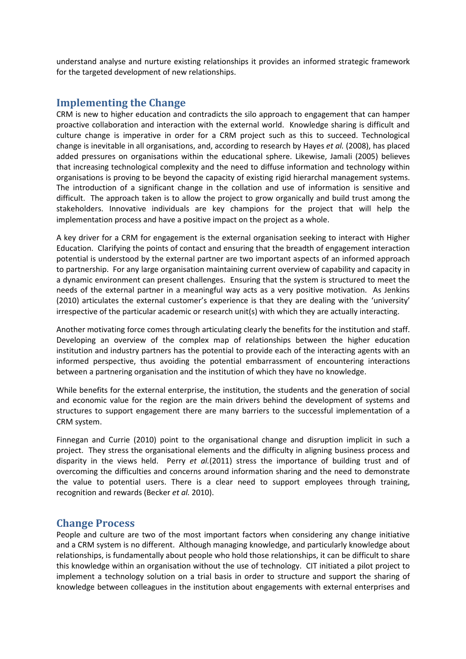understand analyse and nurture existing relationships it provides an informed strategic framework for the targeted development of new relationships.

# Implementing the Change

CRM is new to higher education and contradicts the silo approach to engagement that can hamper proactive collaboration and interaction with the external world. Knowledge sharing is difficult and culture change is imperative in order for a CRM project such as this to succeed. Technological change is inevitable in all organisations, and, according to research by Hayes et al. (2008), has placed added pressures on organisations within the educational sphere. Likewise, Jamali (2005) believes that increasing technological complexity and the need to diffuse information and technology within organisations is proving to be beyond the capacity of existing rigid hierarchal management systems. The introduction of a significant change in the collation and use of information is sensitive and difficult. The approach taken is to allow the project to grow organically and build trust among the stakeholders. Innovative individuals are key champions for the project that will help the implementation process and have a positive impact on the project as a whole.

A key driver for a CRM for engagement is the external organisation seeking to interact with Higher Education. Clarifying the points of contact and ensuring that the breadth of engagement interaction potential is understood by the external partner are two important aspects of an informed approach to partnership. For any large organisation maintaining current overview of capability and capacity in a dynamic environment can present challenges. Ensuring that the system is structured to meet the needs of the external partner in a meaningful way acts as a very positive motivation. As Jenkins (2010) articulates the external customer's experience is that they are dealing with the 'university' irrespective of the particular academic or research unit(s) with which they are actually interacting.

Another motivating force comes through articulating clearly the benefits for the institution and staff. Developing an overview of the complex map of relationships between the higher education institution and industry partners has the potential to provide each of the interacting agents with an informed perspective, thus avoiding the potential embarrassment of encountering interactions between a partnering organisation and the institution of which they have no knowledge.

While benefits for the external enterprise, the institution, the students and the generation of social and economic value for the region are the main drivers behind the development of systems and structures to support engagement there are many barriers to the successful implementation of a CRM system.

Finnegan and Currie (2010) point to the organisational change and disruption implicit in such a project. They stress the organisational elements and the difficulty in aligning business process and disparity in the views held. Perry et  $al.(2011)$  stress the importance of building trust and of overcoming the difficulties and concerns around information sharing and the need to demonstrate the value to potential users. There is a clear need to support employees through training, recognition and rewards (Becker et al. 2010).

# Change Process

People and culture are two of the most important factors when considering any change initiative and a CRM system is no different. Although managing knowledge, and particularly knowledge about relationships, is fundamentally about people who hold those relationships, it can be difficult to share this knowledge within an organisation without the use of technology. CIT initiated a pilot project to implement a technology solution on a trial basis in order to structure and support the sharing of knowledge between colleagues in the institution about engagements with external enterprises and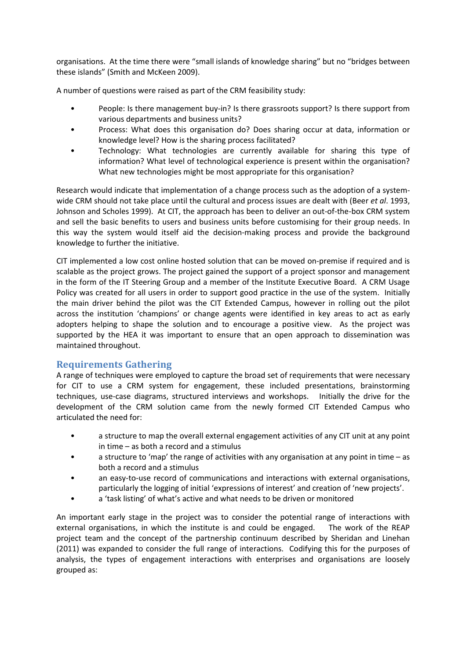organisations. At the time there were "small islands of knowledge sharing" but no "bridges between these islands" (Smith and McKeen 2009).

A number of questions were raised as part of the CRM feasibility study:

- People: Is there management buy-in? Is there grassroots support? Is there support from various departments and business units?
- Process: What does this organisation do? Does sharing occur at data, information or knowledge level? How is the sharing process facilitated?
- Technology: What technologies are currently available for sharing this type of information? What level of technological experience is present within the organisation? What new technologies might be most appropriate for this organisation?

Research would indicate that implementation of a change process such as the adoption of a systemwide CRM should not take place until the cultural and process issues are dealt with (Beer et al. 1993, Johnson and Scholes 1999). At CIT, the approach has been to deliver an out-of-the-box CRM system and sell the basic benefits to users and business units before customising for their group needs. In this way the system would itself aid the decision-making process and provide the background knowledge to further the initiative.

CIT implemented a low cost online hosted solution that can be moved on-premise if required and is scalable as the project grows. The project gained the support of a project sponsor and management in the form of the IT Steering Group and a member of the Institute Executive Board. A CRM Usage Policy was created for all users in order to support good practice in the use of the system. Initially the main driver behind the pilot was the CIT Extended Campus, however in rolling out the pilot across the institution 'champions' or change agents were identified in key areas to act as early adopters helping to shape the solution and to encourage a positive view. As the project was supported by the HEA it was important to ensure that an open approach to dissemination was maintained throughout.

# Requirements Gathering

A range of techniques were employed to capture the broad set of requirements that were necessary for CIT to use a CRM system for engagement, these included presentations, brainstorming techniques, use-case diagrams, structured interviews and workshops. Initially the drive for the development of the CRM solution came from the newly formed CIT Extended Campus who articulated the need for:

- a structure to map the overall external engagement activities of any CIT unit at any point in time – as both a record and a stimulus
- a structure to 'map' the range of activities with any organisation at any point in time as both a record and a stimulus
- an easy-to-use record of communications and interactions with external organisations, particularly the logging of initial 'expressions of interest' and creation of 'new projects'.
- a 'task listing' of what's active and what needs to be driven or monitored

An important early stage in the project was to consider the potential range of interactions with external organisations, in which the institute is and could be engaged. The work of the REAP project team and the concept of the partnership continuum described by Sheridan and Linehan (2011) was expanded to consider the full range of interactions. Codifying this for the purposes of analysis, the types of engagement interactions with enterprises and organisations are loosely grouped as: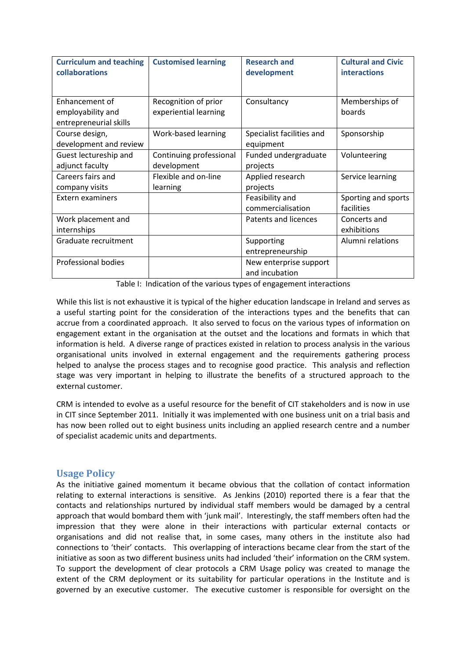| <b>Curriculum and teaching</b><br>collaborations | <b>Customised learning</b> | <b>Research and</b><br>development | <b>Cultural and Civic</b><br><b>interactions</b> |
|--------------------------------------------------|----------------------------|------------------------------------|--------------------------------------------------|
|                                                  |                            |                                    |                                                  |
| Enhancement of                                   | Recognition of prior       | Consultancy                        | Memberships of                                   |
| employability and                                | experiential learning      |                                    | boards                                           |
| entrepreneurial skills                           |                            |                                    |                                                  |
| Course design,                                   | Work-based learning        | Specialist facilities and          | Sponsorship                                      |
| development and review                           |                            | equipment                          |                                                  |
| Guest lectureship and                            | Continuing professional    | Funded undergraduate               | Volunteering                                     |
| adjunct faculty                                  | development                | projects                           |                                                  |
| Careers fairs and                                | Flexible and on-line       | Applied research                   | Service learning                                 |
| company visits                                   | learning                   | projects                           |                                                  |
| <b>Extern examiners</b>                          |                            | Feasibility and                    | Sporting and sports                              |
|                                                  |                            | commercialisation                  | facilities                                       |
| Work placement and                               |                            | Patents and licences               | Concerts and                                     |
| internships                                      |                            |                                    | exhibitions                                      |
| Graduate recruitment                             |                            | Supporting                         | Alumni relations                                 |
|                                                  |                            | entrepreneurship                   |                                                  |
| Professional bodies                              |                            | New enterprise support             |                                                  |
|                                                  |                            | and incubation                     |                                                  |

Table I: Indication of the various types of engagement interactions

While this list is not exhaustive it is typical of the higher education landscape in Ireland and serves as a useful starting point for the consideration of the interactions types and the benefits that can accrue from a coordinated approach. It also served to focus on the various types of information on engagement extant in the organisation at the outset and the locations and formats in which that information is held. A diverse range of practices existed in relation to process analysis in the various organisational units involved in external engagement and the requirements gathering process helped to analyse the process stages and to recognise good practice. This analysis and reflection stage was very important in helping to illustrate the benefits of a structured approach to the external customer.

CRM is intended to evolve as a useful resource for the benefit of CIT stakeholders and is now in use in CIT since September 2011. Initially it was implemented with one business unit on a trial basis and has now been rolled out to eight business units including an applied research centre and a number of specialist academic units and departments.

# Usage Policy

As the initiative gained momentum it became obvious that the collation of contact information relating to external interactions is sensitive. As Jenkins (2010) reported there is a fear that the contacts and relationships nurtured by individual staff members would be damaged by a central approach that would bombard them with 'junk mail'. Interestingly, the staff members often had the impression that they were alone in their interactions with particular external contacts or organisations and did not realise that, in some cases, many others in the institute also had connections to 'their' contacts. This overlapping of interactions became clear from the start of the initiative as soon as two different business units had included 'their' information on the CRM system. To support the development of clear protocols a CRM Usage policy was created to manage the extent of the CRM deployment or its suitability for particular operations in the Institute and is governed by an executive customer. The executive customer is responsible for oversight on the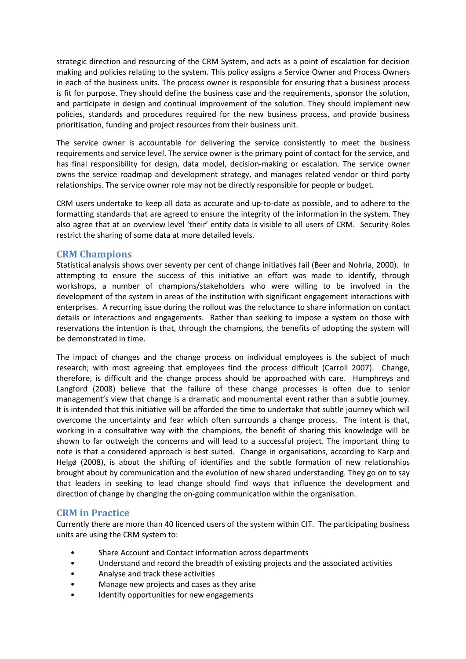strategic direction and resourcing of the CRM System, and acts as a point of escalation for decision making and policies relating to the system. This policy assigns a Service Owner and Process Owners in each of the business units. The process owner is responsible for ensuring that a business process is fit for purpose. They should define the business case and the requirements, sponsor the solution, and participate in design and continual improvement of the solution. They should implement new policies, standards and procedures required for the new business process, and provide business prioritisation, funding and project resources from their business unit.

The service owner is accountable for delivering the service consistently to meet the business requirements and service level. The service owner is the primary point of contact for the service, and has final responsibility for design, data model, decision-making or escalation. The service owner owns the service roadmap and development strategy, and manages related vendor or third party relationships. The service owner role may not be directly responsible for people or budget.

CRM users undertake to keep all data as accurate and up-to-date as possible, and to adhere to the formatting standards that are agreed to ensure the integrity of the information in the system. They also agree that at an overview level 'their' entity data is visible to all users of CRM. Security Roles restrict the sharing of some data at more detailed levels.

# CRM Champions

Statistical analysis shows over seventy per cent of change initiatives fail (Beer and Nohria, 2000). In attempting to ensure the success of this initiative an effort was made to identify, through workshops, a number of champions/stakeholders who were willing to be involved in the development of the system in areas of the institution with significant engagement interactions with enterprises. A recurring issue during the rollout was the reluctance to share information on contact details or interactions and engagements. Rather than seeking to impose a system on those with reservations the intention is that, through the champions, the benefits of adopting the system will be demonstrated in time.

The impact of changes and the change process on individual employees is the subject of much research; with most agreeing that employees find the process difficult (Carroll 2007). Change, therefore, is difficult and the change process should be approached with care. Humphreys and Langford (2008) believe that the failure of these change processes is often due to senior management's view that change is a dramatic and monumental event rather than a subtle journey. It is intended that this initiative will be afforded the time to undertake that subtle journey which will overcome the uncertainty and fear which often surrounds a change process. The intent is that, working in a consultative way with the champions, the benefit of sharing this knowledge will be shown to far outweigh the concerns and will lead to a successful project. The important thing to note is that a considered approach is best suited. Change in organisations, according to Karp and Helgø (2008), is about the shifting of identifies and the subtle formation of new relationships brought about by communication and the evolution of new shared understanding. They go on to say that leaders in seeking to lead change should find ways that influence the development and direction of change by changing the on-going communication within the organisation.

# CRM in Practice

Currently there are more than 40 licenced users of the system within CIT. The participating business units are using the CRM system to:

- Share Account and Contact information across departments
- Understand and record the breadth of existing projects and the associated activities
- Analyse and track these activities
- Manage new projects and cases as they arise
- Identify opportunities for new engagements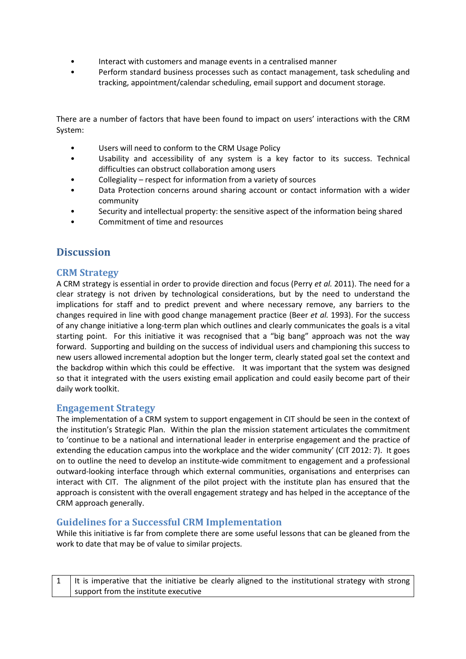- Interact with customers and manage events in a centralised manner
- Perform standard business processes such as contact management, task scheduling and tracking, appointment/calendar scheduling, email support and document storage.

There are a number of factors that have been found to impact on users' interactions with the CRM System:

- Users will need to conform to the CRM Usage Policy
- Usability and accessibility of any system is a key factor to its success. Technical difficulties can obstruct collaboration among users
- Collegiality respect for information from a variety of sources
- Data Protection concerns around sharing account or contact information with a wider community
- Security and intellectual property: the sensitive aspect of the information being shared
- Commitment of time and resources

# **Discussion**

## CRM Strategy

A CRM strategy is essential in order to provide direction and focus (Perry et al. 2011). The need for a clear strategy is not driven by technological considerations, but by the need to understand the implications for staff and to predict prevent and where necessary remove, any barriers to the changes required in line with good change management practice (Beer et al. 1993). For the success of any change initiative a long-term plan which outlines and clearly communicates the goals is a vital starting point. For this initiative it was recognised that a "big bang" approach was not the way forward. Supporting and building on the success of individual users and championing this success to new users allowed incremental adoption but the longer term, clearly stated goal set the context and the backdrop within which this could be effective. It was important that the system was designed so that it integrated with the users existing email application and could easily become part of their daily work toolkit.

## Engagement Strategy

The implementation of a CRM system to support engagement in CIT should be seen in the context of the institution's Strategic Plan. Within the plan the mission statement articulates the commitment to 'continue to be a national and international leader in enterprise engagement and the practice of extending the education campus into the workplace and the wider community' (CIT 2012: 7). It goes on to outline the need to develop an institute-wide commitment to engagement and a professional outward-looking interface through which external communities, organisations and enterprises can interact with CIT. The alignment of the pilot project with the institute plan has ensured that the approach is consistent with the overall engagement strategy and has helped in the acceptance of the CRM approach generally.

## Guidelines for a Successful CRM Implementation

While this initiative is far from complete there are some useful lessons that can be gleaned from the work to date that may be of value to similar projects.

| 1   It is imperative that the initiative be clearly aligned to the institutional strategy with strong |
|-------------------------------------------------------------------------------------------------------|
| support from the institute executive                                                                  |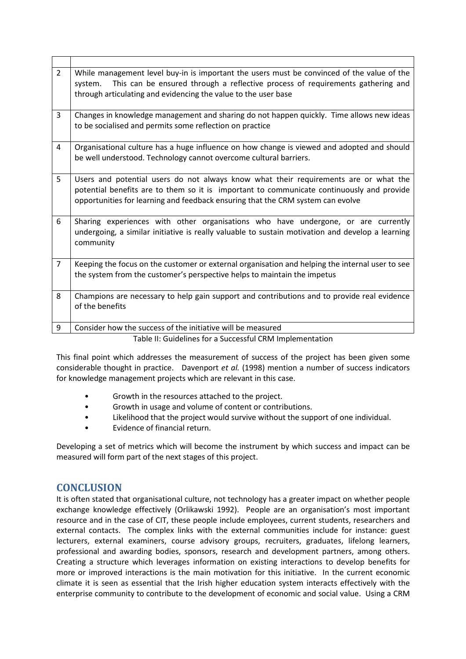| $\overline{2}$ | While management level buy-in is important the users must be convinced of the value of the<br>This can be ensured through a reflective process of requirements gathering and<br>system.<br>through articulating and evidencing the value to the user base            |
|----------------|----------------------------------------------------------------------------------------------------------------------------------------------------------------------------------------------------------------------------------------------------------------------|
| $\overline{3}$ | Changes in knowledge management and sharing do not happen quickly. Time allows new ideas<br>to be socialised and permits some reflection on practice                                                                                                                 |
| 4              | Organisational culture has a huge influence on how change is viewed and adopted and should<br>be well understood. Technology cannot overcome cultural barriers.                                                                                                      |
| 5              | Users and potential users do not always know what their requirements are or what the<br>potential benefits are to them so it is important to communicate continuously and provide<br>opportunities for learning and feedback ensuring that the CRM system can evolve |
| 6              | Sharing experiences with other organisations who have undergone, or are currently<br>undergoing, a similar initiative is really valuable to sustain motivation and develop a learning<br>community                                                                   |
| $\overline{7}$ | Keeping the focus on the customer or external organisation and helping the internal user to see<br>the system from the customer's perspective helps to maintain the impetus                                                                                          |
| 8              | Champions are necessary to help gain support and contributions and to provide real evidence<br>of the benefits                                                                                                                                                       |
| 9              | Consider how the success of the initiative will be measured                                                                                                                                                                                                          |
|                | Table II: Guidelines for a Successful CRM Implementation                                                                                                                                                                                                             |

This final point which addresses the measurement of success of the project has been given some considerable thought in practice. Davenport et al. (1998) mention a number of success indicators for knowledge management projects which are relevant in this case.

- Growth in the resources attached to the project.
- Growth in usage and volume of content or contributions.
- Likelihood that the project would survive without the support of one individual.
- Evidence of financial return.

Developing a set of metrics which will become the instrument by which success and impact can be measured will form part of the next stages of this project.

# **CONCLUSION**

It is often stated that organisational culture, not technology has a greater impact on whether people exchange knowledge effectively (Orlikawski 1992). People are an organisation's most important resource and in the case of CIT, these people include employees, current students, researchers and external contacts. The complex links with the external communities include for instance: guest lecturers, external examiners, course advisory groups, recruiters, graduates, lifelong learners, professional and awarding bodies, sponsors, research and development partners, among others. Creating a structure which leverages information on existing interactions to develop benefits for more or improved interactions is the main motivation for this initiative. In the current economic climate it is seen as essential that the Irish higher education system interacts effectively with the enterprise community to contribute to the development of economic and social value. Using a CRM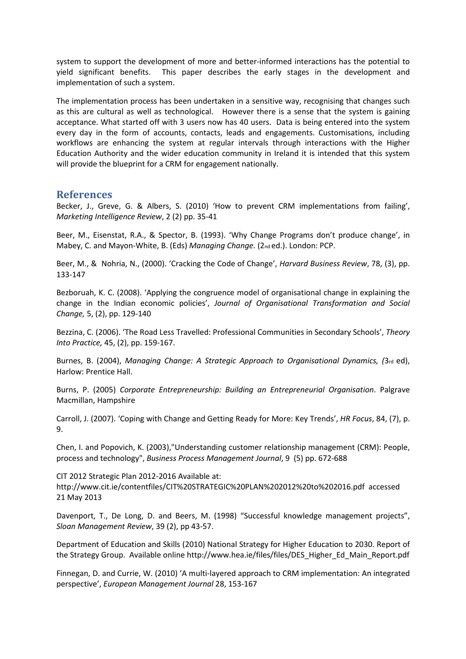system to support the development of more and better-informed interactions has the potential to yield significant benefits. This paper describes the early stages in the development and implementation of such a system.

The implementation process has been undertaken in a sensitive way, recognising that changes such as this are cultural as well as technological. However there is a sense that the system is gaining acceptance. What started off with 3 users now has 40 users. Data is being entered into the system every day in the form of accounts, contacts, leads and engagements. Customisations, including workflows are enhancing the system at regular intervals through interactions with the Higher Education Authority and the wider education community in Ireland it is intended that this system will provide the blueprint for a CRM for engagement nationally.

## References

Becker, J., Greve, G. & Albers, S. (2010) 'How to prevent CRM implementations from failing', Marketing Intelligence Review, 2 (2) pp. 35-41

Beer, M., Eisenstat, R.A., & Spector, B. (1993). 'Why Change Programs don't produce change', in Mabey, C. and Mayon-White, B. (Eds) Managing Change. (2nd ed.). London: PCP.

Beer, M., & Nohria, N., (2000). 'Cracking the Code of Change', Harvard Business Review, 78, (3), pp. 133-147

Bezboruah, K. C. (2008). 'Applying the congruence model of organisational change in explaining the change in the Indian economic policies', Journal of Organisational Transformation and Social Change, 5, (2), pp. 129-140

Bezzina, C. (2006). 'The Road Less Travelled: Professional Communities in Secondary Schools', Theory Into Practice, 45, (2), pp. 159-167.

Burnes, B. (2004), Managing Change: A Strategic Approach to Organisational Dynamics, (3rd ed), Harlow: Prentice Hall.

Burns, P. (2005) Corporate Entrepreneurship: Building an Entrepreneurial Organisation. Palgrave Macmillan, Hampshire

Carroll, J. (2007). 'Coping with Change and Getting Ready for More: Key Trends', HR Focus, 84, (7), p. 9.

Chen, I. and Popovich, K. (2003),"Understanding customer relationship management (CRM): People, process and technology", Business Process Management Journal, 9 (5) pp. 672-688

CIT 2012 Strategic Plan 2012-2016 Available at: http://www.cit.ie/contentfiles/CIT%20STRATEGIC%20PLAN%202012%20to%202016.pdf accessed 21 May 2013

Davenport, T., De Long, D. and Beers, M. (1998) "Successful knowledge management projects", Sloan Management Review, 39 (2), pp 43-57.

Department of Education and Skills (2010) National Strategy for Higher Education to 2030. Report of the Strategy Group. Available online http://www.hea.ie/files/files/DES\_Higher\_Ed\_Main\_Report.pdf

Finnegan, D. and Currie, W. (2010) 'A multi-layered approach to CRM implementation: An integrated perspective', European Management Journal 28, 153-167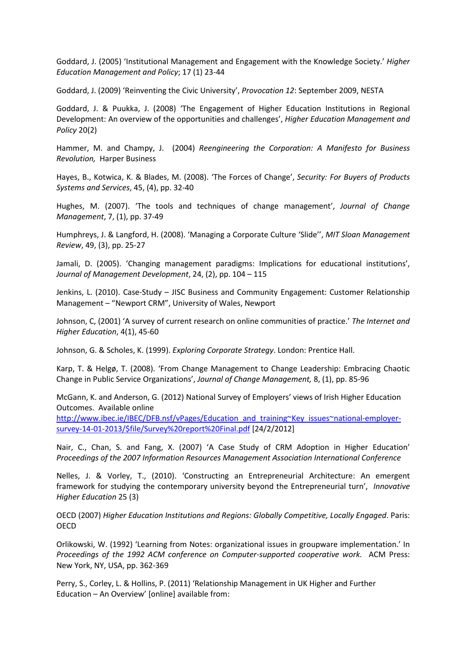Goddard, J. (2005) 'Institutional Management and Engagement with the Knowledge Society.' Higher Education Management and Policy; 17 (1) 23-44

Goddard, J. (2009) 'Reinventing the Civic University', Provocation 12: September 2009, NESTA

Goddard, J. & Puukka, J. (2008) 'The Engagement of Higher Education Institutions in Regional Development: An overview of the opportunities and challenges', Higher Education Management and Policy 20(2)

Hammer, M. and Champy, J. (2004) Reengineering the Corporation: A Manifesto for Business Revolution, Harper Business

Hayes, B., Kotwica, K. & Blades, M. (2008). 'The Forces of Change', Security: For Buyers of Products Systems and Services, 45, (4), pp. 32-40

Hughes, M. (2007). 'The tools and techniques of change management', Journal of Change Management, 7, (1), pp. 37-49

Humphreys, J. & Langford, H. (2008). 'Managing a Corporate Culture 'Slide'', MIT Sloan Management Review, 49, (3), pp. 25-27

Jamali, D. (2005). 'Changing management paradigms: Implications for educational institutions', Journal of Management Development, 24, (2), pp. 104 – 115

Jenkins, L. (2010). Case-Study – JISC Business and Community Engagement: Customer Relationship Management – "Newport CRM", University of Wales, Newport

Johnson, C, (2001) 'A survey of current research on online communities of practice.' The Internet and Higher Education, 4(1), 45-60

Johnson, G. & Scholes, K. (1999). Exploring Corporate Strategy. London: Prentice Hall.

Karp, T. & Helgø, T. (2008). 'From Change Management to Change Leadership: Embracing Chaotic Change in Public Service Organizations', Journal of Change Management, 8, (1), pp. 85-96

McGann, K. and Anderson, G. (2012) National Survey of Employers' views of Irish Higher Education Outcomes. Available online

http://www.ibec.ie/IBEC/DFB.nsf/vPages/Education\_and\_training~Key\_issues~national-employersurvey-14-01-2013/\$file/Survey%20report%20Final.pdf [24/2/2012]

Nair, C., Chan, S. and Fang, X. (2007) 'A Case Study of CRM Adoption in Higher Education' Proceedings of the 2007 Information Resources Management Association International Conference

Nelles, J. & Vorley, T., (2010). 'Constructing an Entrepreneurial Architecture: An emergent framework for studying the contemporary university beyond the Entrepreneurial turn', Innovative Higher Education 25 (3)

OECD (2007) Higher Education Institutions and Regions: Globally Competitive, Locally Engaged. Paris: **OECD** 

Orlikowski, W. (1992) 'Learning from Notes: organizational issues in groupware implementation.' In Proceedings of the 1992 ACM conference on Computer-supported cooperative work. ACM Press: New York, NY, USA, pp. 362-369

Perry, S., Corley, L. & Hollins, P. (2011) 'Relationship Management in UK Higher and Further Education – An Overview' [online] available from: